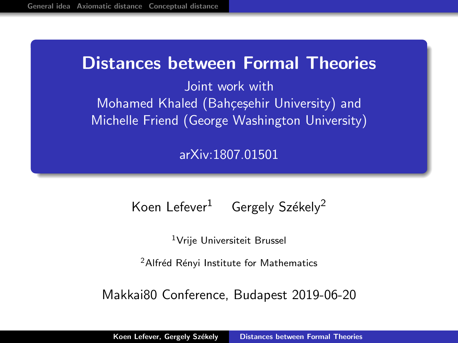# <span id="page-0-0"></span>Distances between Formal Theories

Joint work with Mohamed Khaled (Bahçeşehir University) and Michelle Friend (George Washington University)

[arXiv:1807.01501](http://arxiv.org/abs/1807.01501)

# Koen Lefever<sup>1</sup> Gergely Székely<sup>2</sup>

<sup>1</sup>Vrije Universiteit Brussel

<sup>2</sup> Alfréd Rényi Institute for Mathematics

Makkai80 Conference, Budapest 2019-06-20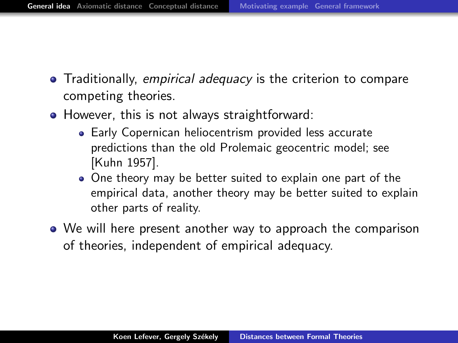- <span id="page-1-0"></span>**•** Traditionally, *empirical adequacy* is the criterion to compare competing theories.
- However, this is not always straightforward:
	- Early Copernican heliocentrism provided less accurate predictions than the old Prolemaic geocentric model; see [Kuhn 1957].
	- One theory may be better suited to explain one part of the empirical data, another theory may be better suited to explain other parts of reality.
- We will here present another way to approach the comparison of theories, independent of empirical adequacy.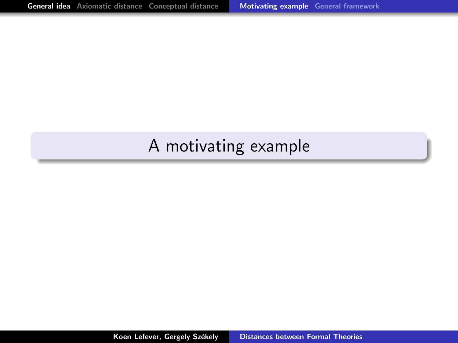# <span id="page-2-0"></span>A motivating example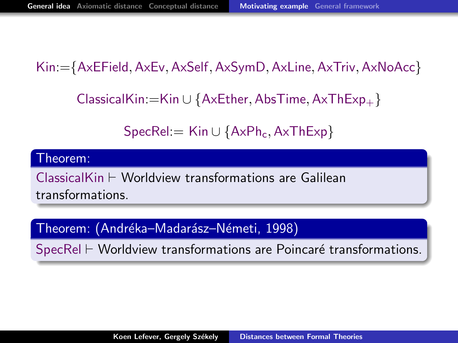Kin:={AxEField, AxEv, AxSelf, AxSymD, AxLine, AxTriv, AxNoAcc}

ClassicalKin:=Kin ∪ {AxEther, AbsTime, AxThExp<sub>+</sub>}

 $SpecRel = Kin \cup \{AxPh_c, AxThExp\}$ 

#### Theorem:

 $ClassicalKin \vdash Worldview$  transformations are Galilean transformations.

Theorem: (Andréka–Madarász–Németi, 1998)

 $SpecRel \vdash Worldview$  transformations are Poincaré transformations.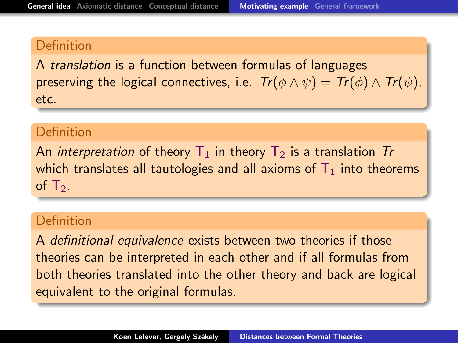A translation is a function between formulas of languages preserving the logical connectives, i.e.  $Tr(\phi \wedge \psi) = Tr(\phi) \wedge Tr(\psi)$ , etc.

### Definition

An *interpretation* of theory  $T_1$  in theory  $T_2$  is a translation Tr which translates all tautologies and all axioms of  $T_1$  into theorems of  $T_2$ .

#### **Definition**

A definitional equivalence exists between two theories if those theories can be interpreted in each other and if all formulas from both theories translated into the other theory and back are logical equivalent to the original formulas.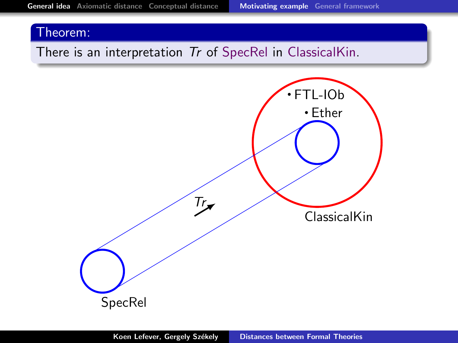### There is an interpretation Tr of SpecRel in ClassicalKin.

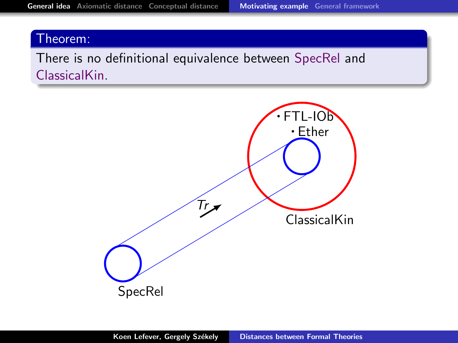There is no definitional equivalence between SpecRel and ClassicalKin.

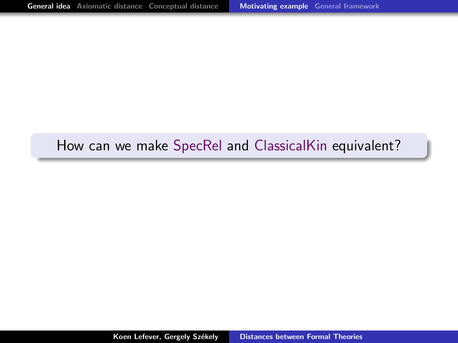## How can we make SpecRel and ClassicalKin equivalent?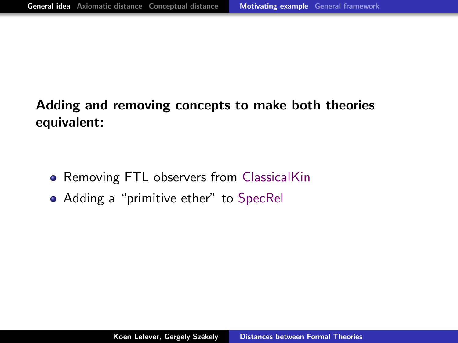# Adding and removing concepts to make both theories equivalent:

- Removing FTL observers from ClassicalKin
- Adding a "primitive ether" to SpecRel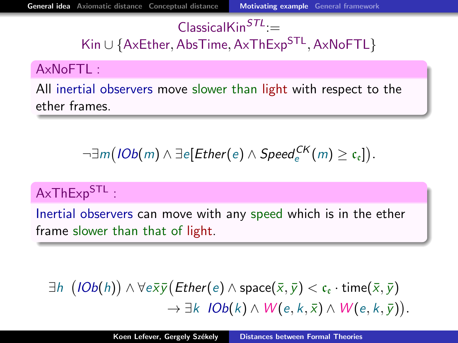## $ClassicalKin<sup>STL</sup>$ =

Kin∪{AxEther, AbsTime, AxThExp<sup>STL</sup>, AxNoFTL}

### AxNoFTL :

All inertial observers move slower than light with respect to the ether frames.

$$
\neg \exists m \big( \textit{IOb}(m) \land \exists e[\textit{Ether}(e) \land \textit{Speed}_e^{\textit{CK}}(m) \geq \mathfrak{c}_{e}]\big).
$$

## AxThExp<sup>STL</sup>:

Inertial observers can move with any speed which is in the ether frame slower than that of light.

$$
\exists h \ \big(IOb(h)\big) \land \forall e\overline{x}\overline{y}\big(Ether(e) \land \text{space}(\overline{x}, \overline{y}) < c_{\varepsilon} \cdot \text{time}(\overline{x}, \overline{y}) \rightarrow \exists k \ \, IOb(k) \land W(e, k, \overline{x}) \land W(e, k, \overline{y})\big).
$$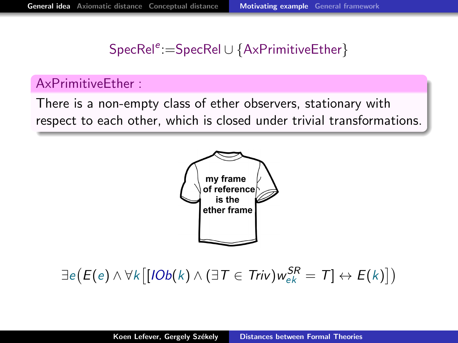## SpecRel<sup>e</sup>:=SpecRel∪{AxPrimitiveEther}

### AxPrimitiveEther :

There is a non-empty class of ether observers, stationary with respect to each other, which is closed under trivial transformations.



 $\exists e (E(e) \wedge \forall k \big[ [ \mathit{IOb}(k) \wedge (\exists T \in \mathit{Triv}) w_{ek}^{\mathcal{SR}} = T ] \leftrightarrow E(k) ] )$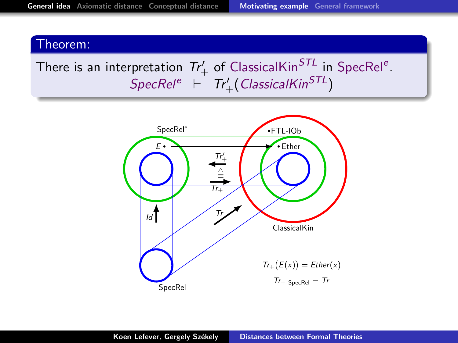# There is an interpretation  $Tr'_{+}$  of ClassicalKin<sup>STL</sup> in SpecRel<sup>e</sup>.  $\mathsf{SpecRel}^e\;\;\vdash\;\; \mathsf{Tr}'_+\big(\mathsf{ClassicalKin}^{\mathsf{STL}}\big)$

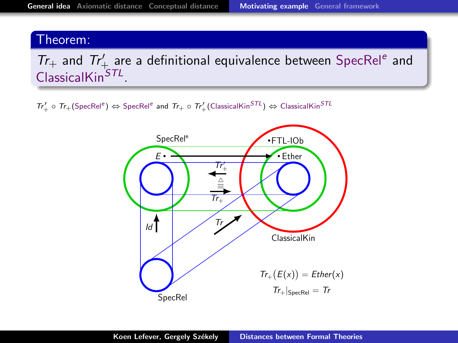$Tr_+$  and  $Tr'_+$  are a definitional equivalence between SpecRel<sup>e</sup> and ClassicalKin<sup>STL</sup>.

 $Tr'_+ \circ Tr_+ (\text{SpecRel}^e) \Leftrightarrow \text{SpecRel}^e$  and  $Tr_+ \circ Tr'_+ (\text{ClassicalKin}^{STL}) \Leftrightarrow \text{ClassicalKin}^{STL}$ 

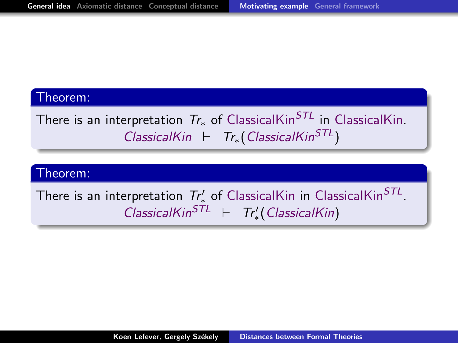There is an interpretation  $Tr_{*}$  of ClassicalKin<sup>STL</sup> in ClassicalKin. ClassicalKin  $\vdash$  Tr<sub>\*</sub>(ClassicalKin<sup>STL</sup>)

#### Theorem:

There is an interpretation  $\mathcal{T}_{\ast}^{\prime}$  of ClassicalKin in ClassicalKin $^{STL}.$  $ClassicalKin<sup>STL</sup>$   $\vdash$   $Tr'_{*}(ClassicalKin)$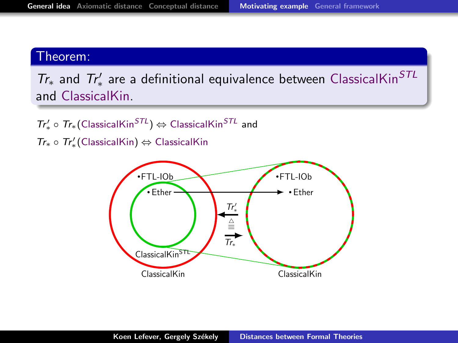$Tr_*$  and  $Tr'_*$  are a definitional equivalence between ClassicalKin<sup>STL</sup> and ClassicalKin.

 $Tr'_{*} \circ Tr_{*}(\text{ClassicalKin}^{STL}) \Leftrightarrow \text{ClassicalKin}^{STL}$  and

 $Tr_* \circ Tr'_*$ (ClassicalKin) ⇔ ClassicalKin

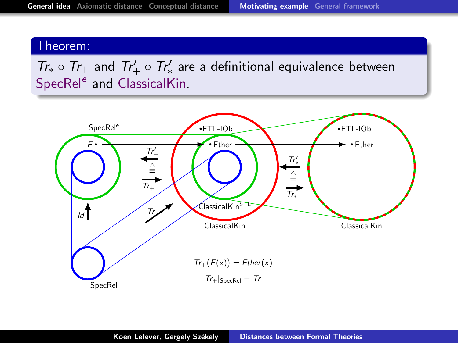$Tr_* \circ Tr_+$  and  $Tr'_+ \circ Tr'_*$  are a definitional equivalence between SpecRel<sup>e</sup> and ClassicalKin.

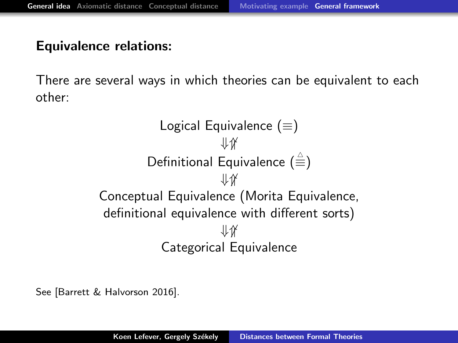### <span id="page-16-0"></span>Equivalence relations:

There are several ways in which theories can be equivalent to each other:

```
Logical Equivalence (\equiv)⇓⇑
         Definitional Equivalence (\hat{\equiv})⇓⇑
Conceptual Equivalence (Morita Equivalence,
definitional equivalence with different sorts)
                      现
           Categorical Equivalence
```
See [Barrett & Halvorson 2016].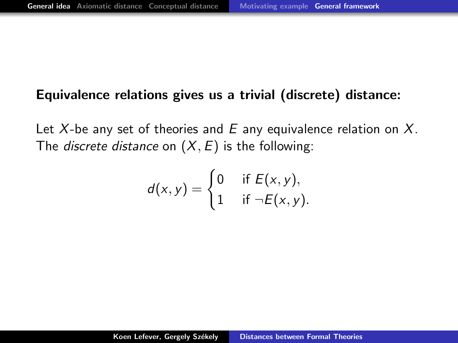### Equivalence relations gives us a trivial (discrete) distance:

Let X-be any set of theories and  $E$  any equivalence relation on X. The *discrete distance* on  $(X, E)$  is the following:

$$
d(x,y) = \begin{cases} 0 & \text{if } E(x,y), \\ 1 & \text{if } \neg E(x,y). \end{cases}
$$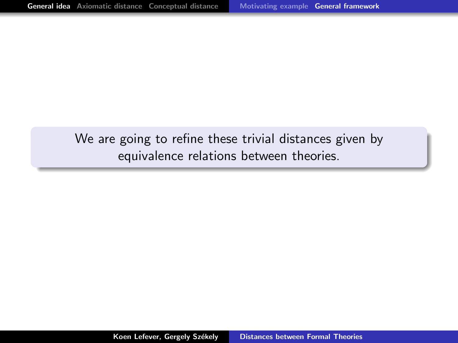We are going to refine these trivial distances given by equivalence relations between theories.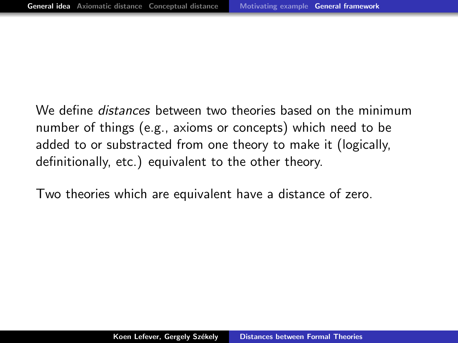We define *distances* between two theories based on the minimum number of things (e.g., axioms or concepts) which need to be added to or substracted from one theory to make it (logically, definitionally, etc.) equivalent to the other theory.

Two theories which are equivalent have a distance of zero.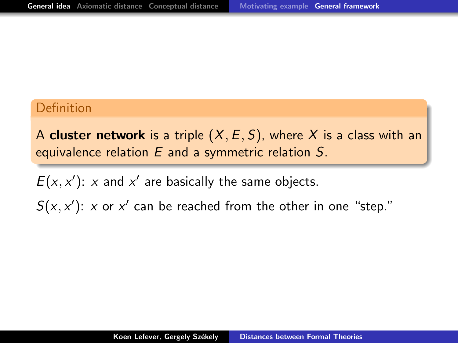A cluster network is a triple  $(X, E, S)$ , where X is a class with an equivalence relation  $E$  and a symmetric relation  $S$ .

 $E(x, x')$ : x and x' are basically the same objects.  $S(x, x')$ : x or x' can be reached from the other in one "step."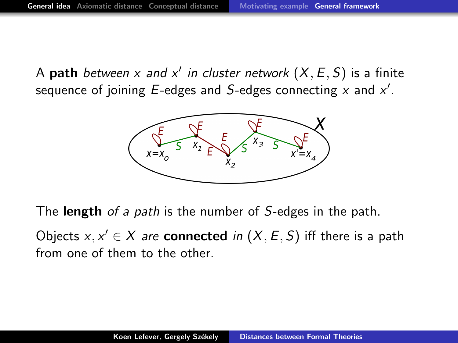A  $\mathsf{path}$  between  $x$  and  $x'$  in cluster network  $(X, E, S)$  is a finite sequence of joining E-edges and S-edges connecting  $x$  and  $x'$ .



The **length** of a path is the number of S-edges in the path.

Objects  $x, x' \in X$  are **connected** in  $(X, E, S)$  iff there is a path from one of them to the other.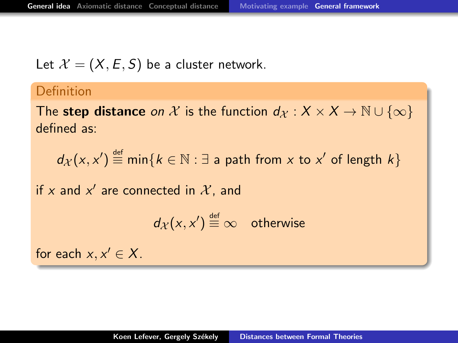Let  $\mathcal{X} = (X, E, S)$  be a cluster network.

#### Definition

The step distance on X is the function  $d_X : X \times X \to \mathbb{N} \cup \{\infty\}$ defined as:

 $d_{\mathcal{X}}(x,x') \stackrel{\text{\tiny def}}{=} \min\{k \in \mathbb{N} : \exists \text{ a path from } x \text{ to } x' \text{ of length } k\}$ 

if x and  $x'$  are connected in  $\mathcal{X}$ , and

$$
d_{\mathcal{X}}(x,x') \stackrel{\text{def}}{=} \infty \quad \text{otherwise}
$$

for each  $x, x' \in X$ .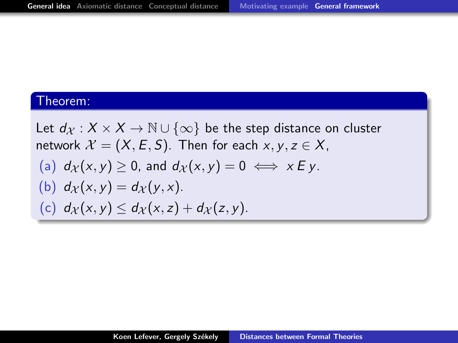Let  $d_X : X \times X \to \mathbb{N} \cup \{\infty\}$  be the step distance on cluster network  $\mathcal{X} = (X, E, S)$ . Then for each  $x, y, z \in X$ , (a)  $d_{\mathcal{X}}(x, y) \geq 0$ , and  $d_{\mathcal{X}}(x, y) = 0 \iff x \in y$ . (b)  $d_{\mathcal{X}}(x, y) = d_{\mathcal{X}}(y, x)$ . (c)  $d_X(x, y) \leq d_X(x, z) + d_X(z, y)$ .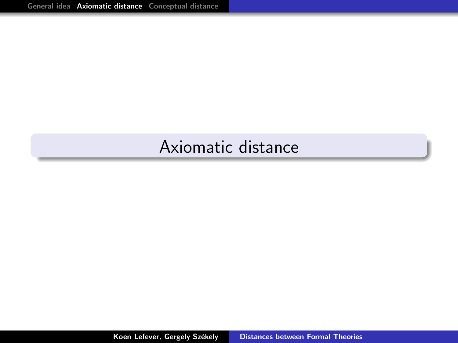# <span id="page-24-0"></span>Axiomatic distance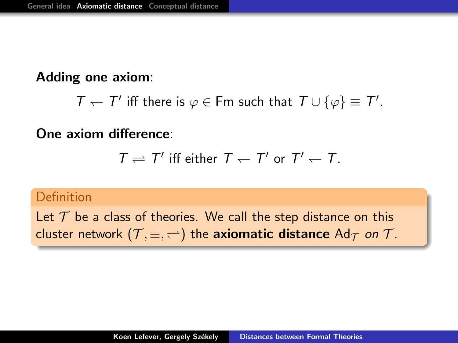### Adding one axiom:

```
T - T' iff there is \varphi \in Fm such that T \cup {\varphi} \equiv T'.
```
### One axiom difference:

$$
\mathcal{T} \rightleftharpoons \mathcal{T}' \text{ iff either } \mathcal{T} \leftarrow \mathcal{T}' \text{ or } \mathcal{T}' \leftarrow \mathcal{T}.
$$

#### Definition

Let  $T$  be a class of theories. We call the step distance on this cluster network  $(\mathcal{T}, \equiv, \rightleftharpoons)$  the <mark>axiomatic distance</mark>  $\mathsf{Ad}_{\mathcal{T}}$  *on*  $\mathcal{T}.$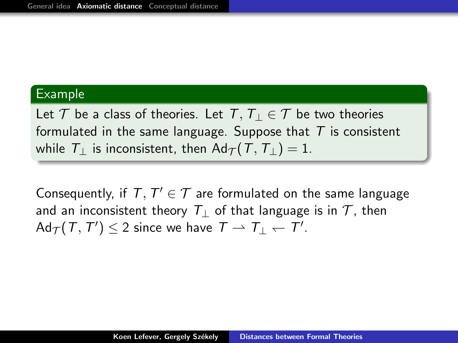#### Example

Let  $\mathcal T$  be a class of theories. Let  $T, T_1 \in \mathcal T$  be two theories formulated in the same language. Suppose that  $T$  is consistent while  $T_{\perp}$  is inconsistent, then Ad $\tau(T, T_{\perp}) = 1$ .

Consequently, if  $T, T' \in \mathcal{T}$  are formulated on the same language and an inconsistent theory  $T_{\perp}$  of that language is in  $T$ , then  $\mathsf{Ad}_\mathcal{T}(T,T')\leq 2$  since we have  $|T|\rightharpoonup |T|_1\leftharpoonup |T'|_2$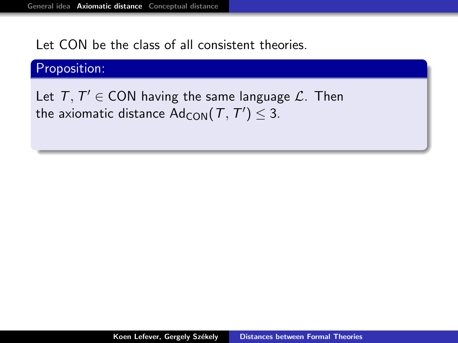Let CON be the class of all consistent theories.

### Proposition:

Let  $T, T' \in CON$  having the same language  $\mathcal{L}$ . Then the axiomatic distance  $\mathsf{Ad}_{\mathsf{CON}}(\mathcal{T},\mathcal{T}')\leq 3.$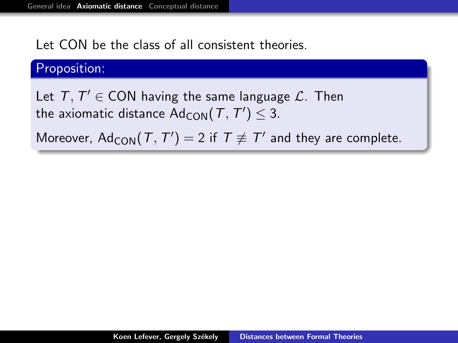Let CON be the class of all consistent theories.

### Proposition:

Let  $T, T' \in CON$  having the same language  $\mathcal{L}$ . Then the axiomatic distance  $\mathsf{Ad}_{\mathsf{CON}}(\mathcal{T},\mathcal{T}')\leq 3.$ 

Moreover,  $\mathsf{Ad}_{\mathsf{CON}}(\mathcal{T},\mathcal{T}')=2$  if  $\mathcal{T}\not\equiv \mathcal{T}'$  and they are complete.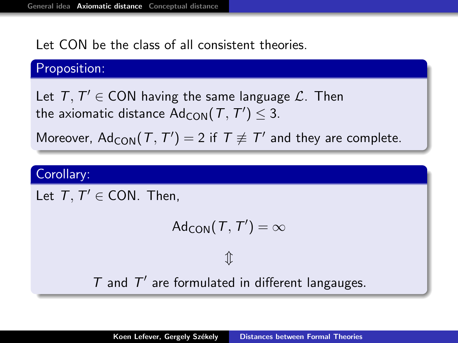Let CON be the class of all consistent theories.

#### Proposition:

Let  $T, T' \in CON$  having the same language  $\mathcal{L}$ . Then the axiomatic distance  $\mathsf{Ad}_{\mathsf{CON}}(\mathcal{T},\mathcal{T}')\leq 3.$ 

Moreover,  $\mathsf{Ad}_{\mathsf{CON}}(\mathcal{T},\mathcal{T}')=2$  if  $\mathcal{T}\not\equiv \mathcal{T}'$  and they are complete.

### Corollary:

Let  $T, T' \in CON$ . Then,

$$
\mathsf{Ad}_{\mathsf{CON}}(\mathcal{T},\mathcal{T}')=\infty
$$

 $\mathbb{\hat{I}}$ 

 $T$  and  $T'$  are formulated in different langauges.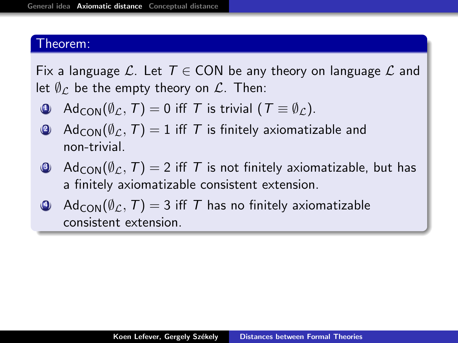Fix a language L. Let  $T \in CON$  be any theory on language L and let  $\emptyset_{\mathcal{L}}$  be the empty theory on  $\mathcal{L}$ . Then:

- $\bigcirc$  Ad<sub>CON</sub>( $\emptyset_{\mathcal{L}}$ , T) = 0 iff T is trivial (T  $\equiv \emptyset_{\mathcal{L}}$ ).
- **4** Ad<sub>CON</sub>( $\emptyset$ <sub>C</sub>, T) = 1 iff T is finitely axiomatizable and non-trivial.
- $\Theta$  Ad<sub>CON</sub>( $\emptyset_{\mathcal{L}}$ , T) = 2 iff T is not finitely axiomatizable, but has a finitely axiomatizable consistent extension.
- $Ad_{CON}(\emptyset_{\mathcal{L}},T) = 3$  iff T has no finitely axiomatizable consistent extension.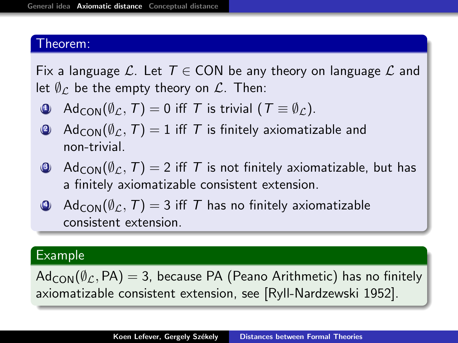Fix a language L. Let  $T \in CON$  be any theory on language L and let  $\emptyset_{\mathcal{L}}$  be the empty theory on  $\mathcal{L}$ . Then:

- $\bigcirc$  Ad<sub>CON</sub>( $\emptyset_{\mathcal{L}}$ , T) = 0 iff T is trivial (T  $\equiv \emptyset_{\mathcal{L}}$ ).
- **4** Ad<sub>CON</sub>( $\emptyset$ <sub>C</sub>, T) = 1 iff T is finitely axiomatizable and non-trivial.
- $\Theta$  Ad<sub>CON</sub>( $\emptyset_{\mathcal{L}}$ , T) = 2 iff T is not finitely axiomatizable, but has a finitely axiomatizable consistent extension.
- $Ad_{\text{CON}}(\emptyset_{\mathcal{L}},T) = 3$  iff T has no finitely axiomatizable consistent extension.

### Example

 $Ad_{CON}(\emptyset_{C}, PA) = 3$ , because PA (Peano Arithmetic) has no finitely axiomatizable consistent extension, see [Ryll-Nardzewski 1952].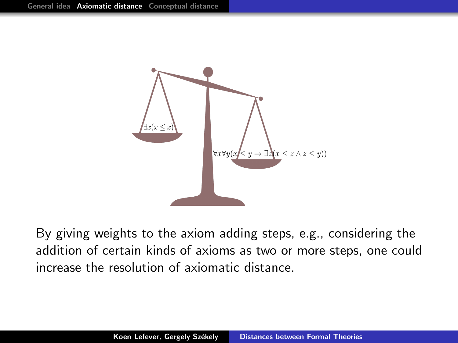

By giving weights to the axiom adding steps, e.g., considering the addition of certain kinds of axioms as two or more steps, one could increase the resolution of axiomatic distance.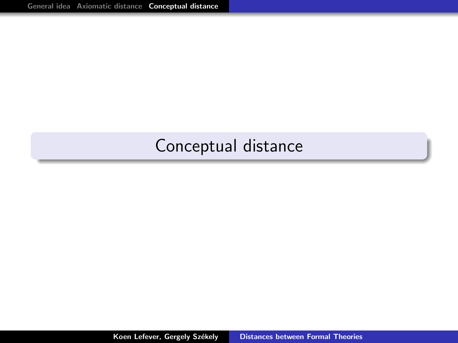# <span id="page-33-0"></span>Conceptual distance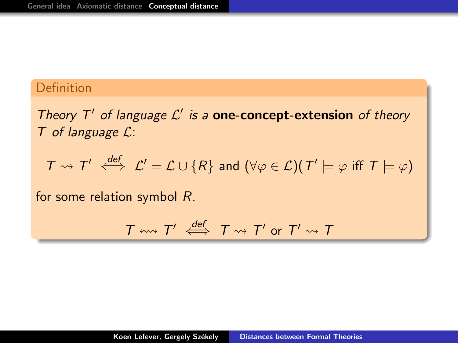Theory  $T'$  of language  $\mathcal{L}'$  is a one-concept-extension of theory  $T$  of language  $\mathcal{L}$ :

 $T \rightsquigarrow T' \stackrel{def}{\iff} \mathcal{L}' = \mathcal{L} \cup \{R\}$  and  $(\forall \varphi \in \mathcal{L})(T' \models \varphi \text{ iff } T \models \varphi)$ 

for some relation symbol R.

$$
T \leftrightarrow T' \stackrel{def}{\iff} T \rightsquigarrow T' \text{ or } T' \rightsquigarrow T
$$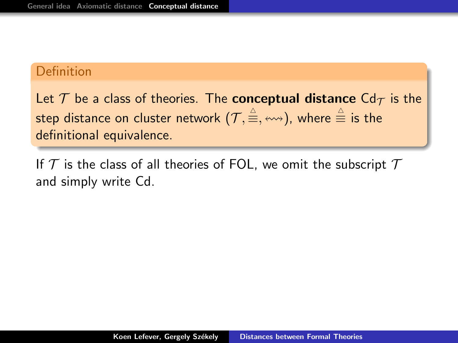Let  $\mathcal T$  be a class of theories. The **conceptual distance** Cd $\tau$  is the step distance on cluster network  $(\mathcal{T}, \r \triangleq, \leftrightsquigarrow)$ , where  $\triangleq$  is the definitional equivalence.

If  $T$  is the class of all theories of FOL, we omit the subscript  $T$ and simply write Cd.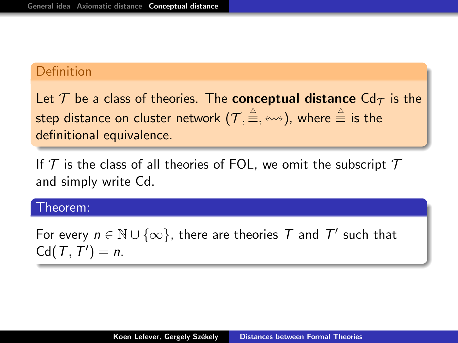Let  $\mathcal T$  be a class of theories. The **conceptual distance** Cd<sub> $\tau$ </sub> is the step distance on cluster network  $(\mathcal{T}, \r \triangleq, \leftrightsquigarrow)$ , where  $\triangleq$  is the definitional equivalence.

If  $T$  is the class of all theories of FOL, we omit the subscript  $T$ and simply write Cd.

#### Theorem:

For every  $n \in \mathbb{N} \cup \{\infty\}$ , there are theories  $\overline{T}$  and  $\overline{T}'$  such that  $Cd(T, T') = n$ .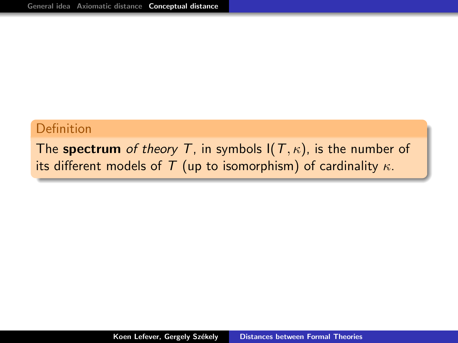The spectrum of theory T, in symbols  $I(T, \kappa)$ , is the number of its different models of T (up to isomorphism) of cardinality  $\kappa$ .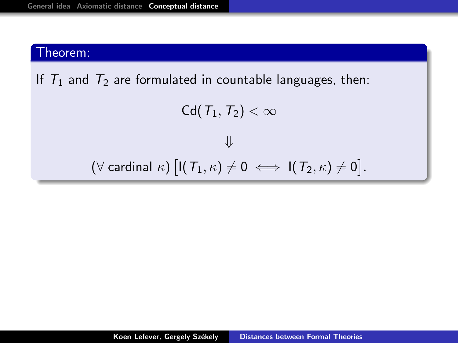If  $T_1$  and  $T_2$  are formulated in countable languages, then:

```
Cd(T_1,T_2) < \infty⇓
```

$$
(\forall \ \text{cardinal} \ \kappa) \ \big[ \mathsf{I}(\mathcal{T}_1,\kappa) \neq 0 \iff \mathsf{I}(\mathcal{T}_2,\kappa) \neq 0 \big].
$$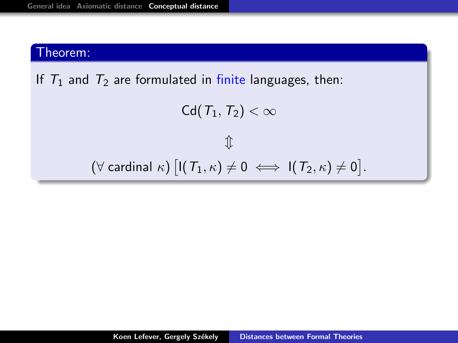If  $T_1$  and  $T_2$  are formulated in finite languages, then:

Cd( $T_1,T_2$ ) <  $\infty$  $\hat{\mathbb{I}}$  $\left( \forall \; \textsf{cardinal} \; \kappa \right) \left[ \mathsf{I}(\, \mathcal{T}_1, \kappa) \neq 0 \; \Longleftrightarrow \; \mathsf{I}(\, \mathcal{T}_2, \kappa) \neq 0 \right].$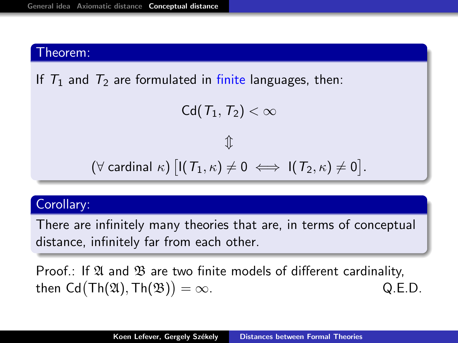If  $T_1$  and  $T_2$  are formulated in finite languages, then:

```
Cd(T_1,T_2) < \infty
```
 $\mathcal{L}$  $\left( \forall \; \textsf{cardinal} \; \kappa \right) \left[ \mathsf{I}(\, \mathcal{T}_1, \kappa) \neq 0 \; \Longleftrightarrow \; \mathsf{I}(\, \mathcal{T}_2, \kappa) \neq 0 \right].$ 

### Corollary:

There are infinitely many theories that are, in terms of conceptual distance, infinitely far from each other.

Proof.: If  $\mathfrak A$  and  $\mathfrak B$  are two finite models of different cardinality, then  $\mathsf{Cd}(\mathsf{Th}(\mathfrak{A}),\mathsf{Th}(\mathfrak{B}))$  $Q.E.D.$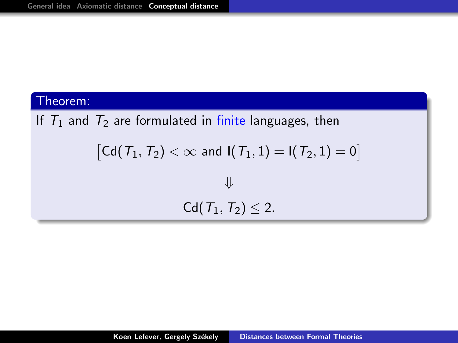# If  $T_1$  and  $T_2$  are formulated in finite languages, then

$$
\begin{aligned} \left[ \mathsf{Cd}(\mathit{T}_1,\mathit{T}_2) < \infty \text{ and } I(\mathit{T}_1,1) = I(\mathit{T}_2,1) = 0 \right] \\ \Downarrow \end{aligned}
$$

$$
Cd(\mathcal{T}_1,\mathcal{T}_2)\leq 2.
$$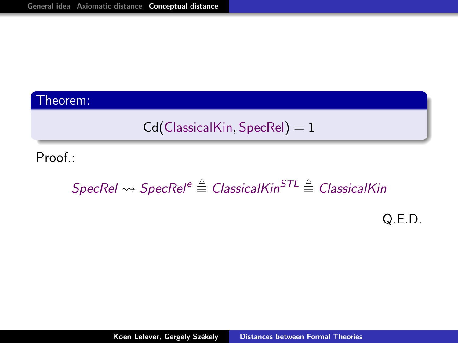$$
\mathsf{Cd}(\mathsf{ClassicalKin}, \mathsf{SpecRel}) = 1
$$

Proof.:

# $S$ pec $R$ el  $\leadsto S$ pec $R$ el $^e\triangleq C$ lassicalKin $^{STL}\triangleq C$ lassicalKin

Q.E.D.